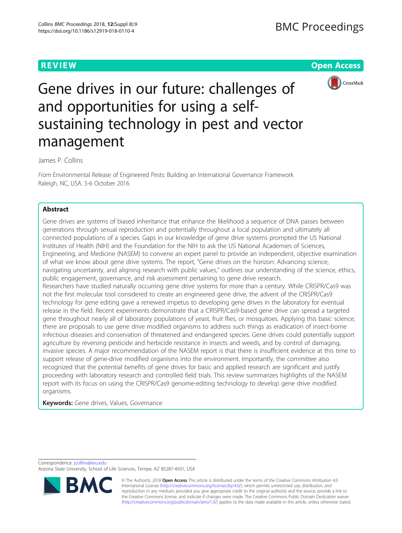



# Gene drives in our future: challenges of and opportunities for using a selfsustaining technology in pest and vector management

James P. Collins

From Environmental Release of Engineered Pests: Building an International Governance Framework Raleigh, NC, USA. 5-6 October 2016

## Abstract

Gene drives are systems of biased inheritance that enhance the likelihood a sequence of DNA passes between generations through sexual reproduction and potentially throughout a local population and ultimately all connected populations of a species. Gaps in our knowledge of gene drive systems prompted the US National Institutes of Health (NIH) and the Foundation for the NIH to ask the US National Academies of Sciences, Engineering, and Medicine (NASEM) to convene an expert panel to provide an independent, objective examination of what we know about gene drive systems. The report, "Gene drives on the horizon: Advancing science, navigating uncertainty, and aligning research with public values," outlines our understanding of the science, ethics, public engagement, governance, and risk assessment pertaining to gene drive research. Researchers have studied naturally occurring gene drive systems for more than a century. While CRISPR/Cas9 was not the first molecular tool considered to create an engineered gene drive, the advent of the CRISPR/Cas9 technology for gene editing gave a renewed impetus to developing gene drives in the laboratory for eventual release in the field. Recent experiments demonstrate that a CRISPR/Cas9-based gene drive can spread a targeted gene throughout nearly all of laboratory populations of yeast, fruit flies, or mosquitoes. Applying this basic science, there are proposals to use gene drive modified organisms to address such things as eradication of insect-borne infectious diseases and conservation of threatened and endangered species. Gene drives could potentially support agriculture by reversing pesticide and herbicide resistance in insects and weeds, and by control of damaging, invasive species. A major recommendation of the NASEM report is that there is insufficient evidence at this time to support release of gene-drive modified organisms into the environment. Importantly, the committee also recognized that the potential benefits of gene drives for basic and applied research are significant and justify proceeding with laboratory research and controlled field trials. This review summarizes highlights of the NASEM report with its focus on using the CRISPR/Cas9 genome-editing technology to develop gene drive modified organisms.

Keywords: Gene drives, Values, Governance

Correspondence: [jcollins@asu.edu](mailto:jcollins@asu.edu)

Arizona State University, School of Life Sciences, Tempe, AZ 85287-4501, USA



© The Author(s). 2018 Open Access This article is distributed under the terms of the Creative Commons Attribution 4.0 International License [\(http://creativecommons.org/licenses/by/4.0/](http://creativecommons.org/licenses/by/4.0/)), which permits unrestricted use, distribution, and reproduction in any medium, provided you give appropriate credit to the original author(s) and the source, provide a link to the Creative Commons license, and indicate if changes were made. The Creative Commons Public Domain Dedication waiver [\(http://creativecommons.org/publicdomain/zero/1.0/](http://creativecommons.org/publicdomain/zero/1.0/)) applies to the data made available in this article, unless otherwise stated.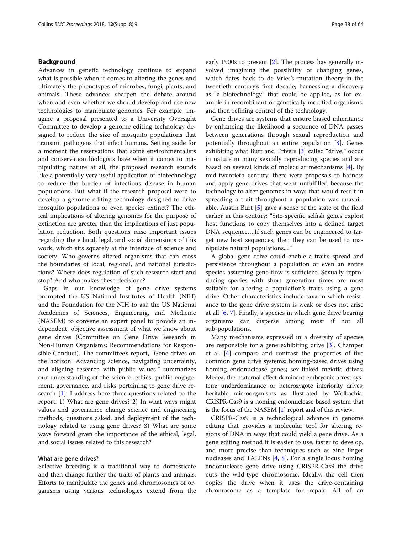## Background

Advances in genetic technology continue to expand what is possible when it comes to altering the genes and ultimately the phenotypes of microbes, fungi, plants, and animals. These advances sharpen the debate around when and even whether we should develop and use new technologies to manipulate genomes. For example, imagine a proposal presented to a University Oversight Committee to develop a genome editing technology designed to reduce the size of mosquito populations that transmit pathogens that infect humans. Setting aside for a moment the reservations that some environmentalists and conservation biologists have when it comes to manipulating nature at all, the proposed research sounds like a potentially very useful application of biotechnology to reduce the burden of infectious disease in human populations. But what if the research proposal were to develop a genome editing technology designed to drive mosquito populations or even species extinct? The ethical implications of altering genomes for the purpose of extinction are greater than the implications of just population reduction. Both questions raise important issues regarding the ethical, legal, and social dimensions of this work, which sits squarely at the interface of science and society. Who governs altered organisms that can cross the boundaries of local, regional, and national jurisdictions? Where does regulation of such research start and stop? And who makes these decisions?

Gaps in our knowledge of gene drive systems prompted the US National Institutes of Health (NIH) and the Foundation for the NIH to ask the US National Academies of Sciences, Engineering, and Medicine (NASEM) to convene an expert panel to provide an independent, objective assessment of what we know about gene drives (Committee on Gene Drive Research in Non-Human Organisms: Recommendations for Responsible Conduct). The committee's report, "Gene drives on the horizon: Advancing science, navigating uncertainty, and aligning research with public values," summarizes our understanding of the science, ethics, public engagement, governance, and risks pertaining to gene drive research [[1\]](#page-4-0). I address here three questions related to the report. 1) What are gene drives? 2) In what ways might values and governance change science and engineering methods, questions asked, and deployment of the technology related to using gene drives? 3) What are some ways forward given the importance of the ethical, legal, and social issues related to this research?

## What are gene drives?

Selective breeding is a traditional way to domesticate and then change further the traits of plants and animals. Efforts to manipulate the genes and chromosomes of organisms using various technologies extend from the early 1900s to present [[2\]](#page-4-0). The process has generally involved imagining the possibility of changing genes, which dates back to de Vries's mutation theory in the twentieth century's first decade; harnessing a discovery as "a biotechnology" that could be applied, as for example in recombinant or genetically modified organisms; and then refining control of the technology.

Gene drives are systems that ensure biased inheritance by enhancing the likelihood a sequence of DNA passes between generations through sexual reproduction and potentially throughout an entire population [\[3](#page-4-0)]. Genes exhibiting what Burt and Trivers [\[3](#page-4-0)] called "drive," occur in nature in many sexually reproducing species and are based on several kinds of molecular mechanisms [[4\]](#page-4-0). By mid-twentieth century, there were proposals to harness and apply gene drives that went unfulfilled because the technology to alter genomes in ways that would result in spreading a trait throughout a population was unavailable. Austin Burt [[5\]](#page-4-0) gave a sense of the state of the field earlier in this century: "Site-specific selfish genes exploit host functions to copy themselves into a defined target DNA sequence….If such genes can be engineered to target new host sequences, then they can be used to manipulate natural populations...."

A global gene drive could enable a trait's spread and persistence throughout a population or even an entire species assuming gene flow is sufficient. Sexually reproducing species with short generation times are most suitable for altering a population's traits using a gene drive. Other characteristics include taxa in which resistance to the gene drive system is weak or does not arise at all  $[6, 7]$  $[6, 7]$  $[6, 7]$  $[6, 7]$ . Finally, a species in which gene drive bearing organisms can disperse among most if not all sub-populations.

Many mechanisms expressed in a diversity of species are responsible for a gene exhibiting drive [[3\]](#page-4-0). Champer et al. [[4\]](#page-4-0) compare and contrast the properties of five common gene drive systems: homing-based drives using homing endonuclease genes; sex-linked meiotic drives; Medea, the maternal effect dominant embryonic arrest system; underdominance or heterozygote inferiority drives; heritable microorganisms as illustrated by Wolbachia. CRISPR-Cas9 is a homing endonuclease based system that is the focus of the NASEM [[1](#page-4-0)] report and of this review.

CRISPR-Cas9 is a technological advance in genome editing that provides a molecular tool for altering regions of DNA in ways that could yield a gene drive. As a gene editing method it is easier to use, faster to develop, and more precise than techniques such as zinc finger nucleases and TALENs [[4,](#page-4-0) [8](#page-4-0)]. For a single locus homing endonuclease gene drive using CRISPR-Cas9 the drive cuts the wild-type chromosome. Ideally, the cell then copies the drive when it uses the drive-containing chromosome as a template for repair. All of an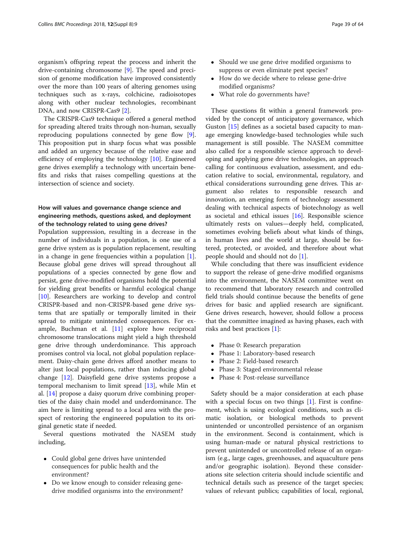organism's offspring repeat the process and inherit the drive-containing chromosome [[9](#page-4-0)]. The speed and precision of genome modification have improved consistently over the more than 100 years of altering genomes using techniques such as x-rays, colchicine, radioisotopes along with other nuclear technologies, recombinant DNA, and now CRISPR-Cas9 [[2\]](#page-4-0).

The CRISPR-Cas9 technique offered a general method for spreading altered traits through non-human, sexually reproducing populations connected by gene flow [\[9](#page-4-0)]. This proposition put in sharp focus what was possible and added an urgency because of the relative ease and efficiency of employing the technology [[10\]](#page-4-0). Engineered gene drives exemplify a technology with uncertain benefits and risks that raises compelling questions at the intersection of science and society.

## How will values and governance change science and engineering methods, questions asked, and deployment of the technology related to using gene drives?

Population suppression, resulting in a decrease in the number of individuals in a population, is one use of a gene drive system as is population replacement, resulting in a change in gene frequencies within a population [\[1](#page-4-0)]. Because global gene drives will spread throughout all populations of a species connected by gene flow and persist, gene drive-modified organisms hold the potential for yielding great benefits or harmful ecological change [[10\]](#page-4-0). Researchers are working to develop and control CRISPR-based and non-CRISPR-based gene drive systems that are spatially or temporally limited in their spread to mitigate unintended consequences. For example, Buchman et al. [\[11](#page-4-0)] explore how reciprocal chromosome translocations might yield a high threshold gene drive through underdominance. This approach promises control via local, not global population replacement. Daisy-chain gene drives afford another means to alter just local populations, rather than inducing global change [\[12\]](#page-4-0). Daisyfield gene drive systems propose a temporal mechanism to limit spread [\[13\]](#page-4-0), while Min et al. [[14\]](#page-4-0) propose a daisy quorum drive combining properties of the daisy chain model and underdominance. The aim here is limiting spread to a local area with the prospect of restoring the engineered population to its original genetic state if needed.

Several questions motivated the NASEM study including,

- Could global gene drives have unintended consequences for public health and the environment?
- Do we know enough to consider releasing genedrive modified organisms into the environment?
- Should we use gene drive modified organisms to suppress or even eliminate pest species?
- How do we decide where to release gene-drive modified organisms?
- What role do governments have?

These questions fit within a general framework provided by the concept of anticipatory governance, which Guston [\[15](#page-4-0)] defines as a societal based capacity to manage emerging knowledge-based technologies while such management is still possible. The NASEM committee also called for a responsible science approach to developing and applying gene drive technologies, an approach calling for continuous evaluation, assessment, and education relative to social, environmental, regulatory, and ethical considerations surrounding gene drives. This argument also relates to responsible research and innovation, an emerging form of technology assessment dealing with technical aspects of biotechnology as well as societal and ethical issues [\[16\]](#page-4-0). Responsible science ultimately rests on values—deeply held, complicated, sometimes evolving beliefs about what kinds of things, in human lives and the world at large, should be fostered, protected, or avoided, and therefore about what people should and should not do [\[1\]](#page-4-0).

While concluding that there was insufficient evidence to support the release of gene-drive modified organisms into the environment, the NASEM committee went on to recommend that laboratory research and controlled field trials should continue because the benefits of gene drives for basic and applied research are significant. Gene drives research, however, should follow a process that the committee imagined as having phases, each with risks and best practices [[1\]](#page-4-0):

- Phase 0: Research preparation
- Phase 1: Laboratory-based research
- Phase 2: Field-based research
- Phase 3: Staged environmental release
- Phase 4: Post-release surveillance

Safety should be a major consideration at each phase with a special focus on two things  $[1]$  $[1]$ . First is confinement, which is using ecological conditions, such as climatic isolation, or biological methods to prevent unintended or uncontrolled persistence of an organism in the environment. Second is containment, which is using human-made or natural physical restrictions to prevent unintended or uncontrolled release of an organism (e.g., large cages, greenhouses, and aquaculture pens and/or geographic isolation). Beyond these considerations site selection criteria should include scientific and technical details such as presence of the target species; values of relevant publics; capabilities of local, regional,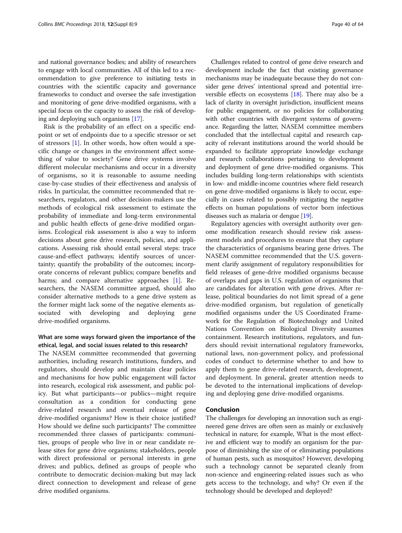and national governance bodies; and ability of researchers to engage with local communities. All of this led to a recommendation to give preference to initiating tests in countries with the scientific capacity and governance frameworks to conduct and oversee the safe investigation and monitoring of gene drive-modified organisms, with a special focus on the capacity to assess the risk of developing and deploying such organisms [\[17\]](#page-4-0).

Risk is the probability of an effect on a specific endpoint or set of endpoints due to a specific stressor or set of stressors [\[1\]](#page-4-0). In other words, how often would a specific change or changes in the environment affect something of value to society? Gene drive systems involve different molecular mechanisms and occur in a diversity of organisms, so it is reasonable to assume needing case-by-case studies of their effectiveness and analysis of risks. In particular, the committee recommended that researchers, regulators, and other decision-makers use the methods of ecological risk assessment to estimate the probability of immediate and long-term environmental and public health effects of gene-drive modified organisms. Ecological risk assessment is also a way to inform decisions about gene drive research, policies, and applications. Assessing risk should entail several steps: trace cause-and-effect pathways; identify sources of uncertainty; quantify the probability of the outcomes; incorporate concerns of relevant publics; compare benefits and harms; and compare alternative approaches [[1\]](#page-4-0). Researchers, the NASEM committee argued, should also consider alternative methods to a gene drive system as the former might lack some of the negative elements associated with developing and deploying gene drive-modified organisms.

## What are some ways forward given the importance of the ethical, legal, and social issues related to this research?

The NASEM committee recommended that governing authorities, including research institutions, funders, and regulators, should develop and maintain clear policies and mechanisms for how public engagement will factor into research, ecological risk assessment, and public policy. But what participants—or publics—might require consultation as a condition for conducting gene drive-related research and eventual release of gene drive-modified organisms? How is their choice justified? How should we define such participants? The committee recommended three classes of participants: communities, groups of people who live in or near candidate release sites for gene drive organisms; stakeholders, people with direct professional or personal interests in gene drives; and publics, defined as groups of people who contribute to democratic decision-making but may lack direct connection to development and release of gene drive modified organisms.

Challenges related to control of gene drive research and development include the fact that existing governance mechanisms may be inadequate because they do not consider gene drives' intentional spread and potential irreversible effects on ecosystems [\[18\]](#page-4-0). There may also be a lack of clarity in oversight jurisdiction, insufficient means for public engagement, or no policies for collaborating with other countries with divergent systems of governance. Regarding the latter, NASEM committee members concluded that the intellectual capital and research capacity of relevant institutions around the world should be expanded to facilitate appropriate knowledge exchange and research collaborations pertaining to development and deployment of gene drive-modified organisms. This includes building long-term relationships with scientists in low- and middle-income countries where field research on gene drive-modified organisms is likely to occur, especially in cases related to possibly mitigating the negative effects on human populations of vector born infectious diseases such as malaria or dengue [\[19\]](#page-4-0).

Regulatory agencies with oversight authority over genome modification research should review risk assessment models and procedures to ensure that they capture the characteristics of organisms bearing gene drives. The NASEM committee recommended that the U.S. government clarify assignment of regulatory responsibilities for field releases of gene-drive modified organisms because of overlaps and gaps in U.S. regulation of organisms that are candidates for alteration with gene drives. After release, political boundaries do not limit spread of a gene drive-modified organism, but regulation of genetically modified organisms under the US Coordinated Framework for the Regulation of Biotechnology and United Nations Convention on Biological Diversity assumes containment. Research institutions, regulators, and funders should revisit international regulatory frameworks, national laws, non-government policy, and professional codes of conduct to determine whether to and how to apply them to gene drive-related research, development, and deployment. In general, greater attention needs to be devoted to the international implications of developing and deploying gene drive-modified organisms.

## Conclusion

The challenges for developing an innovation such as engineered gene drives are often seen as mainly or exclusively technical in nature; for example, What is the most effective and efficient way to modify an organism for the purpose of diminishing the size of or eliminating populations of human pests, such as mosquitos? However, developing such a technology cannot be separated cleanly from non-science and engineering-related issues such as who gets access to the technology, and why? Or even if the technology should be developed and deployed?